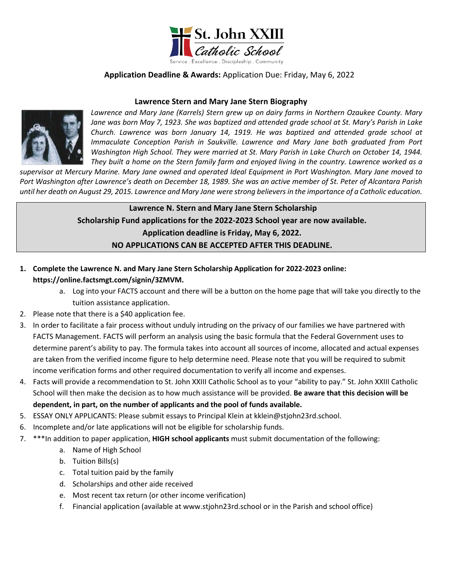

# **Application Deadline & Awards:** Application Due: Friday, May 6, 2022

### **Lawrence Stern and Mary Jane Stern Biography**



*Lawrence and Mary Jane (Karrels) Stern grew up on dairy farms in Northern Ozaukee County. Mary Jane was born May 7, 1923. She was baptized and attended grade school at St. Mary's Parish in Lake Church. Lawrence was born January 14, 1919. He was baptized and attended grade school at Immaculate Conception Parish in Saukville. Lawrence and Mary Jane both graduated from Port*  Washington High School. They were married at St. Mary Parish in Lake Church on October 14, 1944. *They built a home on the Stern family farm and enjoyed living in the country. Lawrence worked as a* 

*supervisor at Mercury Marine. Mary Jane owned and operated Ideal Equipment in Port Washington. Mary Jane moved to Port Washington after Lawrence's death on December 18, 1989. She was an active member of St. Peter of Alcantara Parish until her death on August 29, 2015. Lawrence and Mary Jane were strong believers in the importance of a Catholic education.*

> **Lawrence N. Stern and Mary Jane Stern Scholarship Scholarship Fund applications for the 2022-2023 School year are now available. Application deadline is Friday, May 6, 2022. NO APPLICATIONS CAN BE ACCEPTED AFTER THIS DEADLINE.**

- **1. Complete the Lawrence N. and Mary Jane Stern Scholarship Application for 2022-2023 online: https://online.factsmgt.com/signin/3ZMVM.**
	- a. Log into your FACTS account and there will be a button on the home page that will take you directly to the tuition assistance application.
- 2. Please note that there is a \$40 application fee.
- 3. In order to facilitate a fair process without unduly intruding on the privacy of our families we have partnered with FACTS Management. FACTS will perform an analysis using the basic formula that the Federal Government uses to determine parent's ability to pay. The formula takes into account all sources of income, allocated and actual expenses are taken from the verified income figure to help determine need. Please note that you will be required to submit income verification forms and other required documentation to verify all income and expenses.
- 4. Facts will provide a recommendation to St. John XXIII Catholic School as to your "ability to pay." St. John XXIII Catholic School will then make the decision as to how much assistance will be provided. **Be aware that this decision will be dependent, in part, on the number of applicants and the pool of funds available.**
- 5. ESSAY ONLY APPLICANTS: Please submit essays to Principal Klein at kklein@stjohn23rd.school.
- 6. Incomplete and/or late applications will not be eligible for scholarship funds.
- 7. \*\*\*In addition to paper application, **HIGH school applicants** must submit documentation of the following:
	- a. Name of High School
	- b. Tuition Bills(s)
	- c. Total tuition paid by the family
	- d. Scholarships and other aide received
	- e. Most recent tax return (or other income verification)
	- f. Financial application (available at www.stjohn23rd.school or in the Parish and school office)